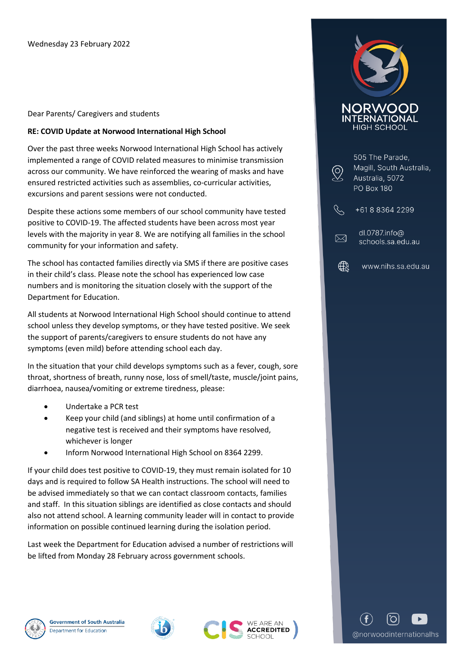## Dear Parents/ Caregivers and students

## **RE: COVID Update at Norwood International High School**

Over the past three weeks Norwood International High School has actively implemented a range of COVID related measures to minimise transmission across our community. We have reinforced the wearing of masks and have ensured restricted activities such as assemblies, co-curricular activities, excursions and parent sessions were not conducted.

Despite these actions some members of our school community have tested positive to COVID-19. The affected students have been across most year levels with the majority in year 8. We are notifying all families in the school community for your information and safety.

The school has contacted families directly via SMS if there are positive cases in their child's class. Please note the school has experienced low case numbers and is monitoring the situation closely with the support of the Department for Education.

All students at Norwood International High School should continue to attend school unless they develop symptoms, or they have tested positive. We seek the support of parents/caregivers to ensure students do not have any symptoms (even mild) before attending school each day.

In the situation that your child develops symptoms such as a fever, cough, sore throat, shortness of breath, runny nose, loss of smell/taste, muscle/joint pains, diarrhoea, nausea/vomiting or extreme tiredness, please:

- Undertake a PCR test
- Keep your child (and siblings) at home until confirmation of a negative test is received and their symptoms have resolved, whichever is longer
- Inform Norwood International High School on 8364 2299.

If your child does test positive to COVID-19, they must remain isolated for 10 days and is required to follow SA Health instructions. The school will need to be advised immediately so that we can contact classroom contacts, families and staff. In this situation siblings are identified as close contacts and should also not attend school. A learning community leader will in contact to provide information on possible continued learning during the isolation period.

Last week the Department for Education advised a number of restrictions will be lifted from Monday 28 February across government schools.



| Magill, South Australia,<br>Australia, 5072<br><b>PO Box 180</b> |
|------------------------------------------------------------------|
| +61883642299                                                     |
| dl.0787.info@<br>schools.sa.edu.au                               |

<sup>∰</sup> www.nihs.sa.edu.au